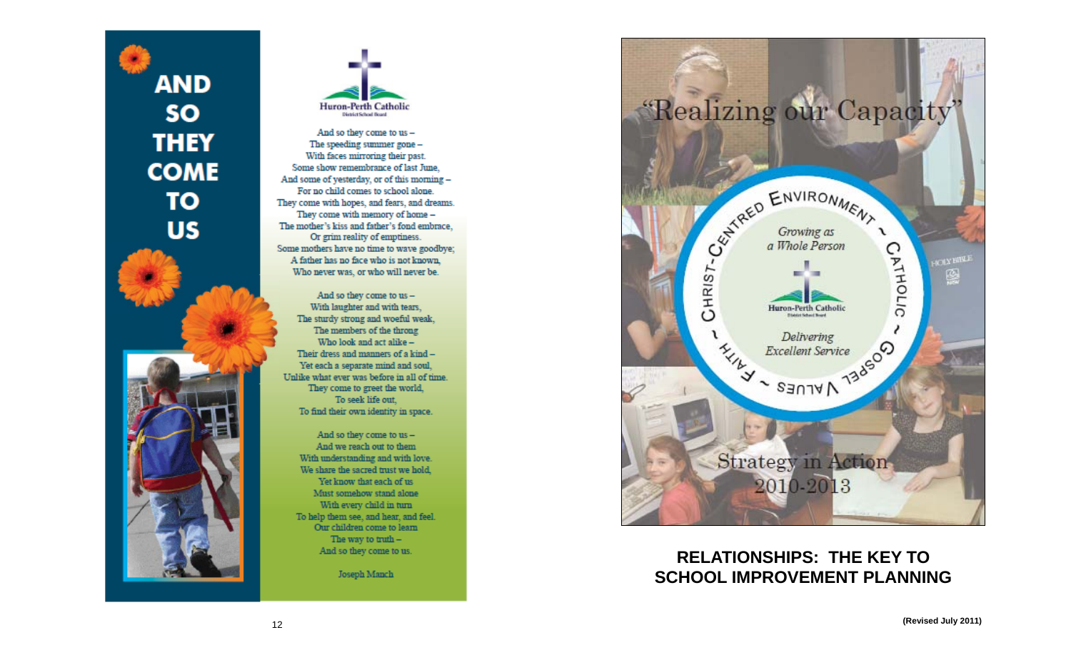**AND SO THEY COME TO US** 



And so they come to us -The speeding summer gone -With faces mirroring their past. Some show remembrance of last June. And some of yesterday, or of this morning -For no child comes to school alone. They come with hopes, and fears, and dreams. They come with memory of home -The mother's kiss and father's fond embrace, Or grim reality of emptiness. Some mothers have no time to wave goodbye; A father has no face who is not known. Who never was, or who will never be.

And so they come to us -With laughter and with tears. The sturdy strong and woeful weak, The members of the throng Who look and act alike -Their dress and manners of a kind -Yet each a separate mind and soul, Unlike what ever was before in all of time. They come to greet the world, To seek life out. To find their own identity in space.

And so they come to us -And we reach out to them With understanding and with love. We share the sacred trust we hold, Yet know that each of us Must somehow stand alone With every child in turn To help them see, and hear, and feel. Our children come to learn The way to truth  $-$ And so they come to us.

Joseph Manch



## **RELATIONSHIPS: THE KEY TO SCHOOL IMPROVEMENT PLANNING**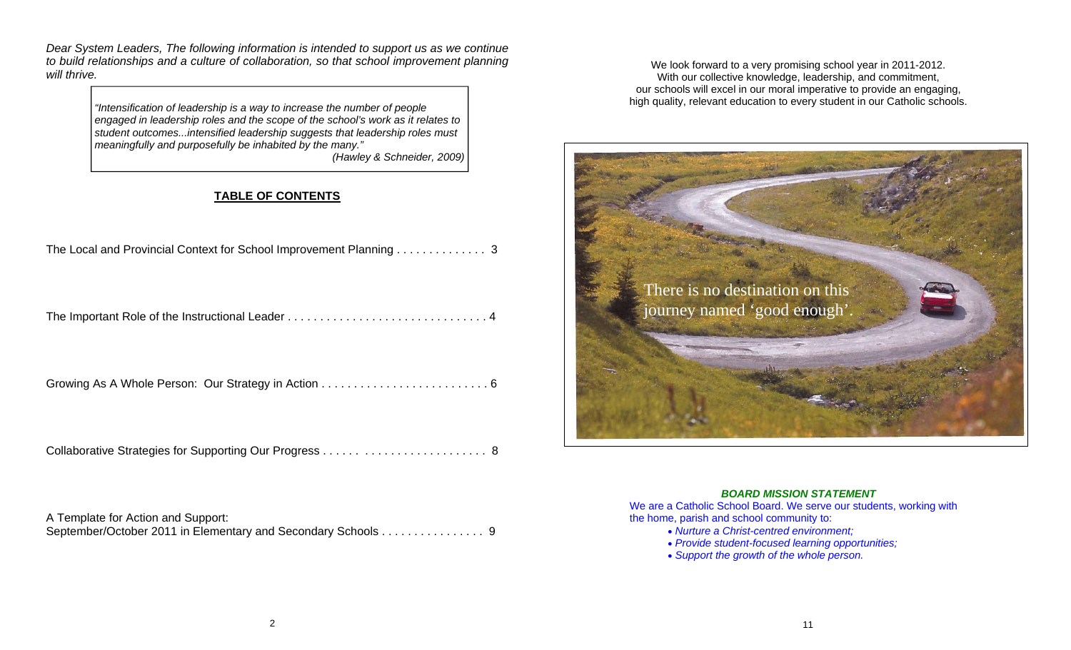*Dear System Leaders, The following information is intended to support us as we continue to build relationships and a culture of collaboration, so that school improvement planning will thrive.* 

> *"Intensification of leadership is a way to increase the number of people engaged in leadership roles and the scope of the school's work as it relates to student outcomes...intensified leadership suggests that leadership roles must meaningfully and purposefully be inhabited by the many."*

*(Hawley & Schneider, 2009)* 

### **TABLE OF CONTENTS**

| The Local and Provincial Context for School Improvement Planning 3 |
|--------------------------------------------------------------------|
|                                                                    |
|                                                                    |
|                                                                    |

A Template for Action and Support: September/October 2011 in Elementary and Secondary Schools . . . . . . . . . . . . . . . 9

We look forward to a very promising school year in 2011-2012. With our collective knowledge, leadership, and commitment, our schools will excel in our moral imperative to provide an engaging, high quality, relevant education to every student in our Catholic schools.



#### *BOARD MISSION STATEMENT*

We are a Catholic School Board. We serve our students, working with the home, parish and school community to:

- *Nurture a Christ-centred environment;*
- *Provide student-focused learning opportunities;*
- *Support the growth of the whole person.*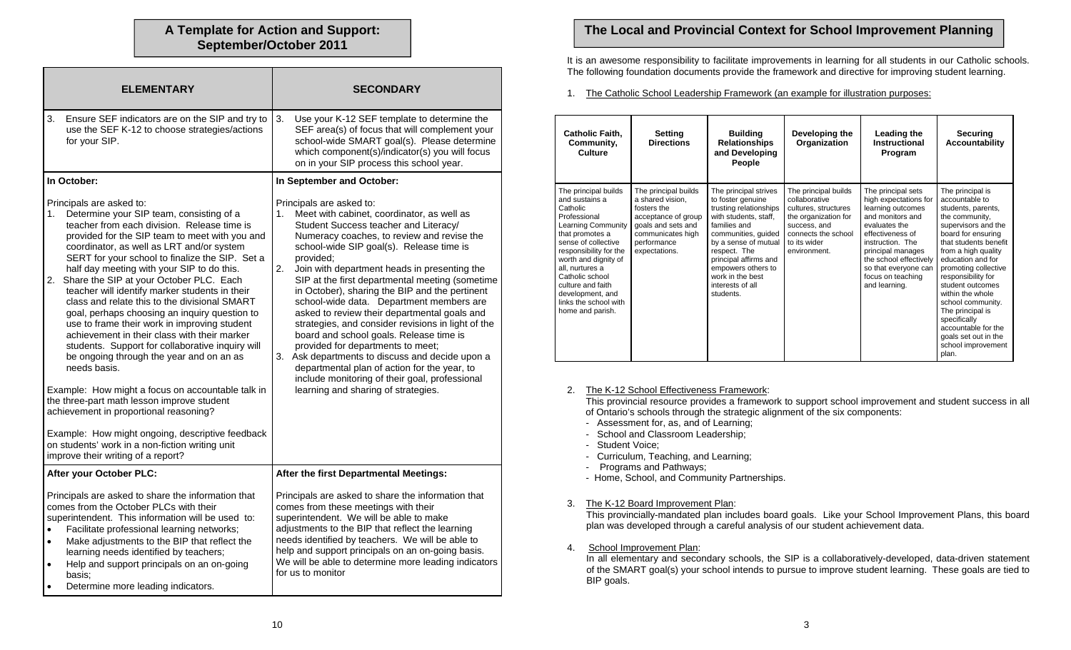# **September/October 2011**

| <b>ELEMENTARY</b>                                                                                                                                                                                                                                                                                                                                                                                                                                                                                                                                                                                                                                                                                                                                                                                                                                                                                                                                                                                                                     | <b>SECONDARY</b>                                                                                                                                                                                                                                                                                                                                                                                                                                                                                                                                                                                                                                                                                                                                                                                                         |  |
|---------------------------------------------------------------------------------------------------------------------------------------------------------------------------------------------------------------------------------------------------------------------------------------------------------------------------------------------------------------------------------------------------------------------------------------------------------------------------------------------------------------------------------------------------------------------------------------------------------------------------------------------------------------------------------------------------------------------------------------------------------------------------------------------------------------------------------------------------------------------------------------------------------------------------------------------------------------------------------------------------------------------------------------|--------------------------------------------------------------------------------------------------------------------------------------------------------------------------------------------------------------------------------------------------------------------------------------------------------------------------------------------------------------------------------------------------------------------------------------------------------------------------------------------------------------------------------------------------------------------------------------------------------------------------------------------------------------------------------------------------------------------------------------------------------------------------------------------------------------------------|--|
| Ensure SEF indicators are on the SIP and try to<br>3.<br>use the SEF K-12 to choose strategies/actions<br>for your SIP.                                                                                                                                                                                                                                                                                                                                                                                                                                                                                                                                                                                                                                                                                                                                                                                                                                                                                                               | 3.<br>Use your K-12 SEF template to determine the<br>SEF area(s) of focus that will complement your<br>school-wide SMART goal(s). Please determine<br>which component(s)/indicator(s) you will focus<br>on in your SIP process this school year.                                                                                                                                                                                                                                                                                                                                                                                                                                                                                                                                                                         |  |
| In October:                                                                                                                                                                                                                                                                                                                                                                                                                                                                                                                                                                                                                                                                                                                                                                                                                                                                                                                                                                                                                           | In September and October:                                                                                                                                                                                                                                                                                                                                                                                                                                                                                                                                                                                                                                                                                                                                                                                                |  |
| Principals are asked to:<br>1.<br>Determine your SIP team, consisting of a<br>teacher from each division. Release time is<br>provided for the SIP team to meet with you and<br>coordinator, as well as LRT and/or system<br>SERT for your school to finalize the SIP. Set a<br>half day meeting with your SIP to do this.<br>2. Share the SIP at your October PLC. Each<br>teacher will identify marker students in their<br>class and relate this to the divisional SMART<br>goal, perhaps choosing an inquiry question to<br>use to frame their work in improving student<br>achievement in their class with their marker<br>students. Support for collaborative inquiry will<br>be ongoing through the year and on an as<br>needs basis.<br>Example: How might a focus on accountable talk in<br>the three-part math lesson improve student<br>achievement in proportional reasoning?<br>Example: How might ongoing, descriptive feedback<br>on students' work in a non-fiction writing unit<br>improve their writing of a report? | Principals are asked to:<br>Meet with cabinet, coordinator, as well as<br>1.<br>Student Success teacher and Literacy/<br>Numeracy coaches, to review and revise the<br>school-wide SIP goal(s). Release time is<br>provided;<br>2.<br>Join with department heads in presenting the<br>SIP at the first departmental meeting (sometime<br>in October), sharing the BIP and the pertinent<br>school-wide data. Department members are<br>asked to review their departmental goals and<br>strategies, and consider revisions in light of the<br>board and school goals. Release time is<br>provided for departments to meet;<br>3.<br>Ask departments to discuss and decide upon a<br>departmental plan of action for the year, to<br>include monitoring of their goal, professional<br>learning and sharing of strategies. |  |
| After your October PLC:                                                                                                                                                                                                                                                                                                                                                                                                                                                                                                                                                                                                                                                                                                                                                                                                                                                                                                                                                                                                               | After the first Departmental Meetings:                                                                                                                                                                                                                                                                                                                                                                                                                                                                                                                                                                                                                                                                                                                                                                                   |  |
| Principals are asked to share the information that<br>comes from the October PLCs with their<br>superintendent. This information will be used to:<br>Facilitate professional learning networks;<br>$\bullet$<br>Make adjustments to the BIP that reflect the<br>$\bullet$<br>learning needs identified by teachers;<br>Help and support principals on an on-going<br>basis:<br>Determine more leading indicators.<br>$\bullet$                                                                                                                                                                                                                                                                                                                                                                                                                                                                                                                                                                                                        | Principals are asked to share the information that<br>comes from these meetings with their<br>superintendent. We will be able to make<br>adjustments to the BIP that reflect the learning<br>needs identified by teachers. We will be able to<br>help and support principals on an on-going basis.<br>We will be able to determine more leading indicators<br>for us to monitor                                                                                                                                                                                                                                                                                                                                                                                                                                          |  |

### **A Template for Action and Support: The Local and Provincial Context for School Improvement Planning**

It is an awesome responsibility to facilitate improvements in learning for all students in our Catholic schools. The following foundation documents provide the framework and directive for improving student learning.

1. The Catholic School Leadership Framework (an example for illustration purposes:

| <b>Catholic Faith,</b><br>Community,<br>Culture                                                                                                                                                                                                                                                                  | <b>Setting</b><br><b>Directions</b>                                                                                                                       | <b>Building</b><br><b>Relationships</b><br>and Developing<br>People                                                                                                                                                                                                              | Developing the<br>Organization                                                                                                                               | Leading the<br>Instructional<br>Program                                                                                                                                                                                                                    | Securing<br>Accountability                                                                                                                                                                                                                                                                                                                                                                                                |
|------------------------------------------------------------------------------------------------------------------------------------------------------------------------------------------------------------------------------------------------------------------------------------------------------------------|-----------------------------------------------------------------------------------------------------------------------------------------------------------|----------------------------------------------------------------------------------------------------------------------------------------------------------------------------------------------------------------------------------------------------------------------------------|--------------------------------------------------------------------------------------------------------------------------------------------------------------|------------------------------------------------------------------------------------------------------------------------------------------------------------------------------------------------------------------------------------------------------------|---------------------------------------------------------------------------------------------------------------------------------------------------------------------------------------------------------------------------------------------------------------------------------------------------------------------------------------------------------------------------------------------------------------------------|
| The principal builds<br>and sustains a<br>Catholic<br>Professional<br>Learning Community<br>that promotes a<br>sense of collective<br>responsibility for the<br>worth and dignity of<br>all. nurtures a<br>Catholic school<br>culture and faith<br>development, and<br>links the school with<br>home and parish. | The principal builds<br>a shared vision.<br>fosters the<br>acceptance of group<br>goals and sets and<br>communicates high<br>performance<br>expectations. | The principal strives<br>to foster genuine<br>trusting relationships<br>with students, staff,<br>families and<br>communities, guided<br>by a sense of mutual<br>respect. The<br>principal affirms and<br>empowers others to<br>work in the best<br>interests of all<br>students. | The principal builds<br>collaborative<br>cultures, structures<br>the organization for<br>success, and<br>connects the school<br>to its wider<br>environment. | The principal sets<br>high expectations for<br>learning outcomes<br>and monitors and<br>evaluates the<br>effectiveness of<br>instruction. The<br>principal manages<br>the school effectively<br>so that everyone can<br>focus on teaching<br>and learning. | The principal is<br>accountable to<br>students, parents,<br>the community,<br>supervisors and the<br>board for ensuring<br>that students benefit<br>from a high quality<br>education and for<br>promoting collective<br>responsibility for<br>student outcomes<br>within the whole<br>school community.<br>The principal is<br>specifically<br>accountable for the<br>goals set out in the<br>school improvement<br>plan. |

#### 2. The K-12 School Effectiveness Framework:

 This provincial resource provides a framework to support school improvement and student success in all of Ontario's schools through the strategic alignment of the six components:

- Assessment for, as, and of Learning;
- School and Classroom Leadership;
- Student Voice;
- Curriculum, Teaching, and Learning;
- Programs and Pathways;
- Home, School, and Community Partnerships.

#### 3. The K-12 Board Improvement Plan:

This provincially-mandated plan includes board goals. Like your School Improvement Plans, this board plan was developed through a careful analysis of our student achievement data.

4. School Improvement Plan:

In all elementary and secondary schools, the SIP is a collaboratively-developed, data-driven statement of the SMART goal(s) your school intends to pursue to improve student learning. These goals are tied to BIP goals.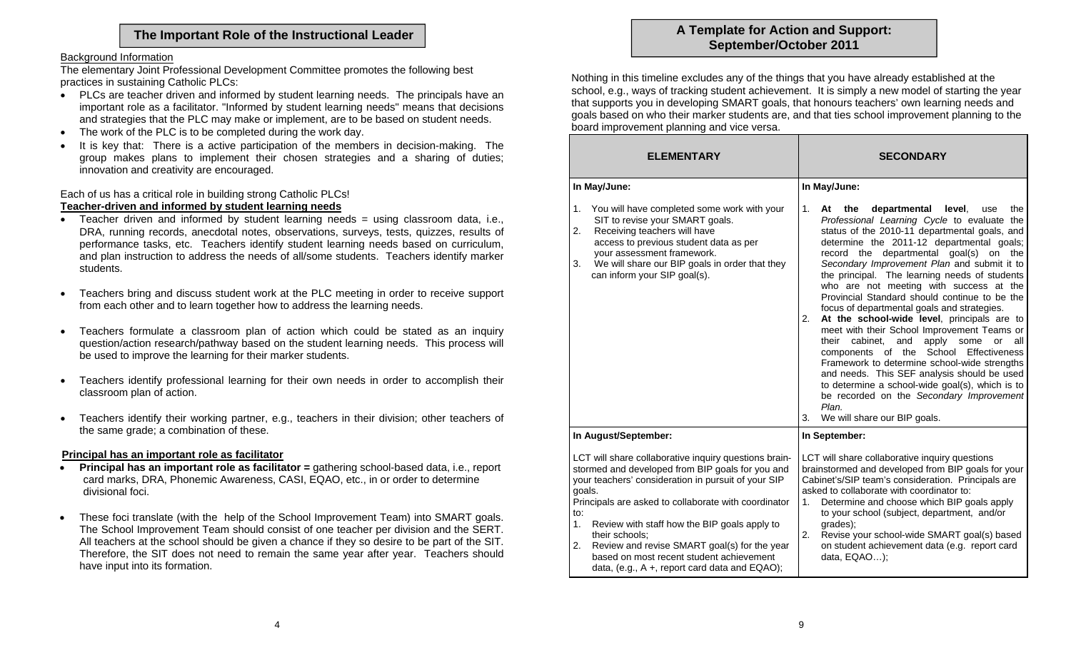#### Background Information

The elementary Joint Professional Development Committee promotes the following best practices in sustaining Catholic PLCs:

- $\bullet$  PLCs are teacher driven and informed by student learning needs. The principals have an important role as a facilitator. "Informed by student learning needs" means that decisions and strategies that the PLC may make or implement, are to be based on student needs.
- $\bullet$ The work of the PLC is to be completed during the work day.
- $\bullet$  It is key that: There is a active participation of the members in decision-making. The group makes plans to implement their chosen strategies and a sharing of duties; innovation and creativity are encouraged.

Each of us has a critical role in building strong Catholic PLCs! **Teacher-driven and informed by student learning needs**

- Teacher driven and informed by student learning needs = using classroom data, i.e., DRA, running records, anecdotal notes, observations, surveys, tests, quizzes, results of performance tasks, etc. Teachers identify student learning needs based on curriculum, and plan instruction to address the needs of all/some students. Teachers identify marker students.
- $\bullet$  Teachers bring and discuss student work at the PLC meeting in order to receive support from each other and to learn together how to address the learning needs.
- $\bullet$  Teachers formulate a classroom plan of action which could be stated as an inquiry question/action research/pathway based on the student learning needs. This process will be used to improve the learning for their marker students.
- $\bullet$  Teachers identify professional learning for their own needs in order to accomplish their classroom plan of action.
- $\bullet$  Teachers identify their working partner, e.g., teachers in their division; other teachers of the same grade; a combination of these.

#### **Principal has an important role as facilitator**

- $\bullet$ **Principal has an important role as facilitator = gathering school-based data, i.e., report**  card marks, DRA, Phonemic Awareness, CASI, EQAO, etc., in or order to determine divisional foci.
- $\bullet$  These foci translate (with the help of the School Improvement Team) into SMART goals. The School Improvement Team should consist of one teacher per division and the SERT. All teachers at the school should be given a chance if they so desire to be part of the SIT. Therefore, the SIT does not need to remain the same year after year. Teachers should have input into its formation.

# The Important Role of the Instructional Leader **A Template for Action and Support:** A Template for Action and Support:

Nothing in this timeline excludes any of the things that you have already established at the school, e.g., ways of tracking student achievement. It is simply a new model of starting the year that supports you in developing SMART goals, that honours teachers' own learning needs and goals based on who their marker students are, and that ties school improvement planning to the board improvement planning and vice versa.

| <b>ELEMENTARY</b>                                                                                                                                                                                                                                                                                                                                                                                                                                                          | <b>SECONDARY</b>                                                                                                                                                                                                                                                                                                                                                                                                                                                                                                                                                                                                                                                                                                                                                                                                                                                                                                                               |  |  |
|----------------------------------------------------------------------------------------------------------------------------------------------------------------------------------------------------------------------------------------------------------------------------------------------------------------------------------------------------------------------------------------------------------------------------------------------------------------------------|------------------------------------------------------------------------------------------------------------------------------------------------------------------------------------------------------------------------------------------------------------------------------------------------------------------------------------------------------------------------------------------------------------------------------------------------------------------------------------------------------------------------------------------------------------------------------------------------------------------------------------------------------------------------------------------------------------------------------------------------------------------------------------------------------------------------------------------------------------------------------------------------------------------------------------------------|--|--|
| In May/June:                                                                                                                                                                                                                                                                                                                                                                                                                                                               | In May/June:                                                                                                                                                                                                                                                                                                                                                                                                                                                                                                                                                                                                                                                                                                                                                                                                                                                                                                                                   |  |  |
| You will have completed some work with your<br>1.<br>SIT to revise your SMART goals.<br>Receiving teachers will have<br>2.<br>access to previous student data as per<br>your assessment framework.<br>We will share our BIP goals in order that they<br>3.<br>can inform your SIP goal(s).                                                                                                                                                                                 | 1.<br>departmental<br>At<br>the<br>level.<br>the<br>use<br>Professional Learning Cycle to evaluate the<br>status of the 2010-11 departmental goals, and<br>determine the 2011-12 departmental goals;<br>record the departmental goal(s) on the<br>Secondary Improvement Plan and submit it to<br>the principal. The learning needs of students<br>who are not meeting with success at the<br>Provincial Standard should continue to be the<br>focus of departmental goals and strategies.<br>At the school-wide level, principals are to<br>2.<br>meet with their School Improvement Teams or<br>cabinet.<br>and<br>apply<br>their<br>some<br>or<br>all<br>components of the School Effectiveness<br>Framework to determine school-wide strengths<br>and needs. This SEF analysis should be used<br>to determine a school-wide goal(s), which is to<br>be recorded on the Secondary Improvement<br>Plan.<br>3.<br>We will share our BIP goals. |  |  |
| In August/September:                                                                                                                                                                                                                                                                                                                                                                                                                                                       | In September:                                                                                                                                                                                                                                                                                                                                                                                                                                                                                                                                                                                                                                                                                                                                                                                                                                                                                                                                  |  |  |
| LCT will share collaborative inquiry questions brain-<br>stormed and developed from BIP goals for you and<br>your teachers' consideration in pursuit of your SIP<br>goals.<br>Principals are asked to collaborate with coordinator<br>to:<br>1.<br>Review with staff how the BIP goals apply to<br>their schools;<br>Review and revise SMART goal(s) for the year<br>2.<br>based on most recent student achievement<br>data, (e.g., $A +$ , report card data and $EQAO$ ); | LCT will share collaborative inquiry questions<br>brainstormed and developed from BIP goals for your<br>Cabinet's/SIP team's consideration. Principals are<br>asked to collaborate with coordinator to:<br>Determine and choose which BIP goals apply<br>1.<br>to your school (subject, department, and/or<br>grades);<br>2.<br>Revise your school-wide SMART goal(s) based<br>on student achievement data (e.g. report card<br>data, EQAO);                                                                                                                                                                                                                                                                                                                                                                                                                                                                                                   |  |  |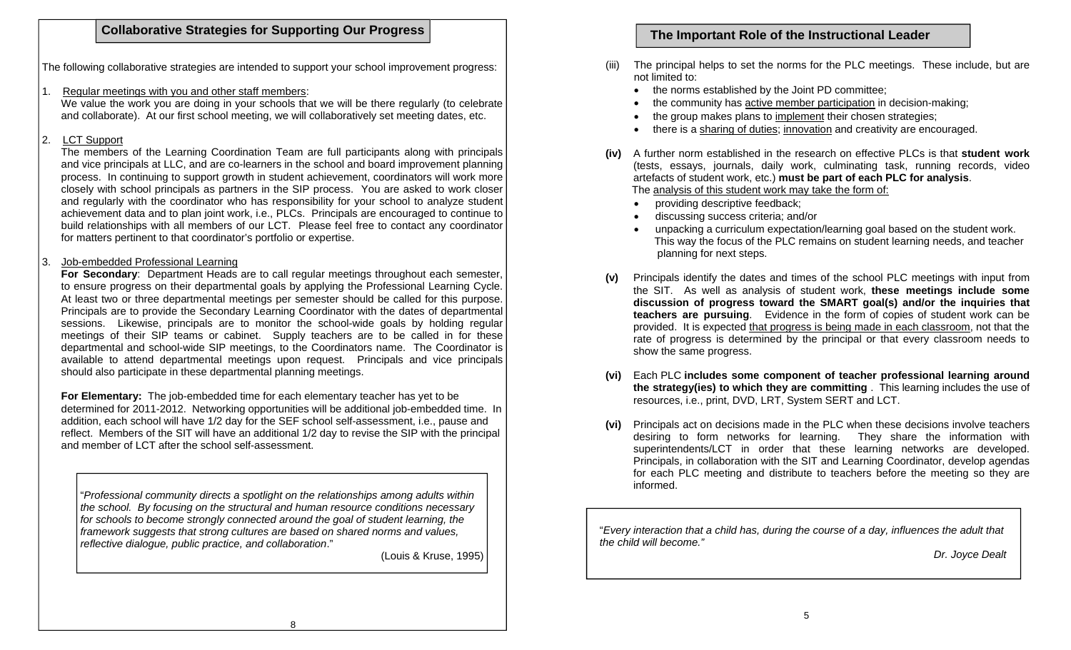## **Collaborative Strategies for Supporting Our Progress | The Important Role of the Instructional Leader Collaborative Strategies for Supporting Our Progress | The Important Role of the Instructional Leader**

The following collaborative strategies are intended to support your school improvement progress:

1. Regular meetings with you and other staff members:

We value the work you are doing in your schools that we will be there regularly (to celebrate and collaborate). At our first school meeting, we will collaboratively set meeting dates, etc.

### 2. LCT Support

The members of the Learning Coordination Team are full participants along with principals and vice principals at LLC, and are co-learners in the school and board improvement planning process. In continuing to support growth in student achievement, coordinators will work more closely with school principals as partners in the SIP process. You are asked to work closer and regularly with the coordinator who has responsibility for your school to analyze student achievement data and to plan joint work, i.e., PLCs. Principals are encouraged to continue to build relationships with all members of our LCT. Please feel free to contact any coordinator for matters pertinent to that coordinator's portfolio or expertise.

#### 3. Job-embedded Professional Learning

**For Secondary**: Department Heads are to call regular meetings throughout each semester, to ensure progress on their departmental goals by applying the Professional Learning Cycle. At least two or three departmental meetings per semester should be called for this purpose. Principals are to provide the Secondary Learning Coordinator with the dates of departmental sessions. Likewise, principals are to monitor the school-wide goals by holding regular meetings of their SIP teams or cabinet. Supply teachers are to be called in for these departmental and school-wide SIP meetings, to the Coordinators name. The Coordinator is available to attend departmental meetings upon request. Principals and vice principals should also participate in these departmental planning meetings.

**For Elementary:** The job-embedded time for each elementary teacher has yet to be determined for 2011-2012. Networking opportunities will be additional job-embedded time. In addition, each school will have 1/2 day for the SEF school self-assessment, i.e., pause and reflect. Members of the SIT will have an additional 1/2 day to revise the SIP with the principal and member of LCT after the school self-assessment.

"*Professional community directs a spotlight on the relationships among adults within the school. By focusing on the structural and human resource conditions necessary for schools to become strongly connected around the goal of student learning, the framework suggests that strong cultures are based on shared norms and values, reflective dialogue, public practice, and collaboration*."

(Louis & Kruse, 1995)

- The principal helps to set the norms for the PLC meetings. These include, but are not limited to:
	- the norms established by the Joint PD committee;
	- $\bullet$ the community has active member participation in decision-making;
	- $\bullet$ the group makes plans to implement their chosen strategies;
	- $\bullet$ there is a sharing of duties; innovation and creativity are encouraged.
- **(iv)** A further norm established in the research on effective PLCs is that **student work** (tests, essays, journals, daily work, culminating task, running records, video artefacts of student work, etc.) **must be part of each PLC for analysis**. The analysis of this student work may take the form of:
	- providing descriptive feedback;
	- discussing success criteria; and/or
	- unpacking a curriculum expectation/learning goal based on the student work. This way the focus of the PLC remains on student learning needs, and teacher planning for next steps.
- **(v)** Principals identify the dates and times of the school PLC meetings with input from the SIT. As well as analysis of student work, **these meetings include some discussion of progress toward the SMART goal(s) and/or the inquiries that teachers are pursuing**. Evidence in the form of copies of student work can be provided. It is expected that progress is being made in each classroom, not that the rate of progress is determined by the principal or that every classroom needs to show the same progress.
- **(vi)** Each PLC **includes some component of teacher professional learning around the strategy(ies) to which they are committing** . This learning includes the use of resources, i.e., print, DVD, LRT, System SERT and LCT.
- **(vi)** Principals act on decisions made in the PLC when these decisions involve teachers desiring to form networks for learning. They share the information with superintendents/LCT in order that these learning networks are developed. Principals, in collaboration with the SIT and Learning Coordinator, develop agendas for each PLC meeting and distribute to teachers before the meeting so they are informed.

"*Every interaction that a child has, during the course of a day, influences the adult that the child will become."* 

*Dr. Joyce Dealt*